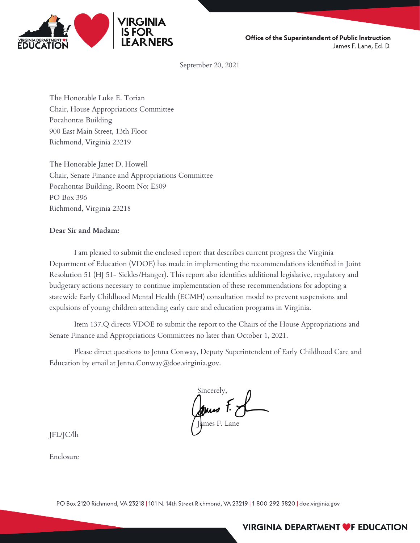

Office of the Superintendent of Public Instruction James F. Lane, Ed. D.

September 20, 2021

The Honorable Luke E. Torian Chair, House Appropriations Committee Pocahontas Building 900 East Main Street, 13th Floor Richmond, Virginia 23219

The Honorable Janet D. Howell Chair, Senate Finance and Appropriations Committee Pocahontas Building, Room No: E509 PO Box 396 Richmond, Virginia 23218

#### **Dear Sir and Madam:**

I am pleased to submit the enclosed report that describes current progress the Virginia Department of Education (VDOE) has made in implementing the recommendations identified in Joint Resolution 51 (HJ 51- Sickles/Hanger). This report also identifies additional legislative, regulatory and budgetary actions necessary to continue implementation of these recommendations for adopting a statewide Early Childhood Mental Health (ECMH) consultation model to prevent suspensions and expulsions of young children attending early care and education programs in Virginia.

Item 137.Q directs VDOE to submit the report to the Chairs of the House Appropriations and Senate Finance and Appropriations Committees no later than October 1, 2021.

Please direct questions to Jenna Conway, Deputy Superintendent of Early Childhood Care and Education by email at Jenna.Conway@doe.virginia.gov.

Sincerely, James F. J

JFL/JC/lh

Enclosure

PO Box 2120 Richmond, VA 23218 | 101 N. 14th Street Richmond, VA 23219 | 1-800-292-3820 | doe.virginia.gov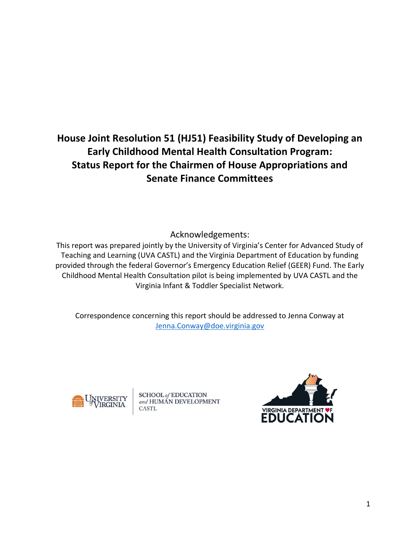# **House Joint Resolution 51 (HJ51) Feasibility Study of Developing an Early Childhood Mental Health Consultation Program: Status Report for the Chairmen of House Appropriations and Senate Finance Committees**

Acknowledgements:

This report was prepared jointly by the University of Virginia's Center for Advanced Study of Teaching and Learning (UVA CASTL) and the Virginia Department of Education by funding provided through the federal Governor's Emergency Education Relief (GEER) Fund. The Early Childhood Mental Health Consultation pilot is being implemented by UVA CASTL and the Virginia Infant & Toddler Specialist Network.

Correspondence concerning this report should be addressed to Jenna Conway at [Jenna.Conway@doe.virginia.gov](mailto:Jenna.Conway@doe.virginia.gov)



**SCHOOL** of **EDUCATION** and HUMAN DEVELOPMENT CASTL

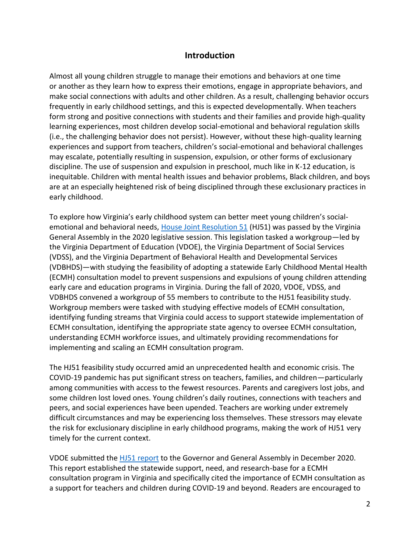#### **Introduction**

Almost all young children struggle to manage their emotions and behaviors at one time or another as they learn how to express their emotions, engage in appropriate behaviors, and make social connections with adults and other children. As a result, challenging behavior occurs frequently in early childhood settings, and this is expected developmentally. When teachers form strong and positive connections with students and their families and provide high-quality learning experiences, most children develop social-emotional and behavioral regulation skills (i.e., the challenging behavior does not persist). However, without these high-quality learning experiences and support from teachers, children's social-emotional and behavioral challenges may escalate, potentially resulting in suspension, expulsion, or other forms of exclusionary discipline. The use of suspension and expulsion in preschool, much like in K-12 education, is inequitable. Children with mental health issues and behavior problems, Black children, and boys are at an especially heightened risk of being disciplined through these exclusionary practices in early childhood.

To explore how Virginia's early childhood system can better meet young children's socialemotional and behavioral needs, [House Joint Resolution 51](https://lis.virginia.gov/cgi-bin/legp604.exe?201+ful+HJ51ER+pdf) (HJ51) was passed by the Virginia General Assembly in the 2020 legislative session. This legislation tasked a workgroup—led by the Virginia Department of Education (VDOE), the Virginia Department of Social Services (VDSS), and the Virginia Department of Behavioral Health and Developmental Services (VDBHDS)—with studying the feasibility of adopting a statewide Early Childhood Mental Health (ECMH) consultation model to prevent suspensions and expulsions of young children attending early care and education programs in Virginia. During the fall of 2020, VDOE, VDSS, and VDBHDS convened a workgroup of 55 members to contribute to the HJ51 feasibility study. Workgroup members were tasked with studying effective models of ECMH consultation, identifying funding streams that Virginia could access to support statewide implementation of ECMH consultation, identifying the appropriate state agency to oversee ECMH consultation, understanding ECMH workforce issues, and ultimately providing recommendations for implementing and scaling an ECMH consultation program.

The HJ51 feasibility study occurred amid an unprecedented health and economic crisis. The COVID-19 pandemic has put significant stress on teachers, families, and children—particularly among communities with access to the fewest resources. Parents and caregivers lost jobs, and some children lost loved ones. Young children's daily routines, connections with teachers and peers, and social experiences have been upended. Teachers are working under extremely difficult circumstances and may be experiencing loss themselves. These stressors may elevate the risk for exclusionary discipline in early childhood programs, making the work of HJ51 very timely for the current context.

VDOE submitted the [HJ51 report](https://rga.lis.virginia.gov/Published/2021/HD3) to the Governor and General Assembly in December 2020. This report established the statewide support, need, and research-base for a ECMH consultation program in Virginia and specifically cited the importance of ECMH consultation as a support for teachers and children during COVID-19 and beyond. Readers are encouraged to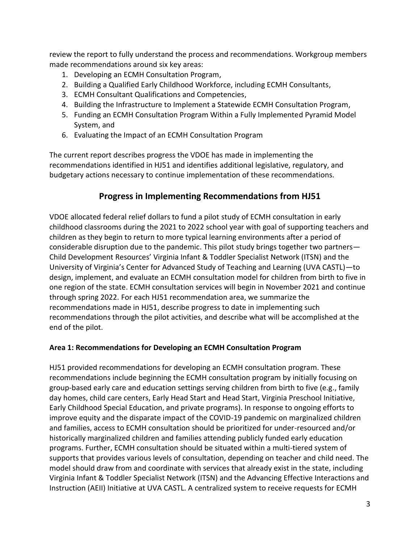review the report to fully understand the process and recommendations. Workgroup members made recommendations around six key areas:

- 1. Developing an ECMH Consultation Program,
- 2. Building a Qualified Early Childhood Workforce, including ECMH Consultants,
- 3. ECMH Consultant Qualifications and Competencies,
- 4. Building the Infrastructure to Implement a Statewide ECMH Consultation Program,
- 5. Funding an ECMH Consultation Program Within a Fully Implemented Pyramid Model System, and
- 6. Evaluating the Impact of an ECMH Consultation Program

The current report describes progress the VDOE has made in implementing the recommendations identified in HJ51 and identifies additional legislative, regulatory, and budgetary actions necessary to continue implementation of these recommendations.

# **Progress in Implementing Recommendations from HJ51**

VDOE allocated federal relief dollars to fund a pilot study of ECMH consultation in early childhood classrooms during the 2021 to 2022 school year with goal of supporting teachers and children as they begin to return to more typical learning environments after a period of considerable disruption due to the pandemic. This pilot study brings together two partners— Child Development Resources' Virginia Infant & Toddler Specialist Network (ITSN) and the University of Virginia's Center for Advanced Study of Teaching and Learning (UVA CASTL)—to design, implement, and evaluate an ECMH consultation model for children from birth to five in one region of the state. ECMH consultation services will begin in November 2021 and continue through spring 2022. For each HJ51 recommendation area, we summarize the recommendations made in HJ51, describe progress to date in implementing such recommendations through the pilot activities, and describe what will be accomplished at the end of the pilot.

#### **Area 1: Recommendations for Developing an ECMH Consultation Program**

HJ51 provided recommendations for developing an ECMH consultation program. These recommendations include beginning the ECMH consultation program by initially focusing on group-based early care and education settings serving children from birth to five (e.g., family day homes, child care centers, Early Head Start and Head Start, Virginia Preschool Initiative, Early Childhood Special Education, and private programs). In response to ongoing efforts to improve equity and the disparate impact of the COVID-19 pandemic on marginalized children and families, access to ECMH consultation should be prioritized for under-resourced and/or historically marginalized children and families attending publicly funded early education programs. Further, ECMH consultation should be situated within a multi-tiered system of supports that provides various levels of consultation, depending on teacher and child need. The model should draw from and coordinate with services that already exist in the state, including Virginia Infant & Toddler Specialist Network (ITSN) and the Advancing Effective Interactions and Instruction (AEII) Initiative at UVA CASTL. A centralized system to receive requests for ECMH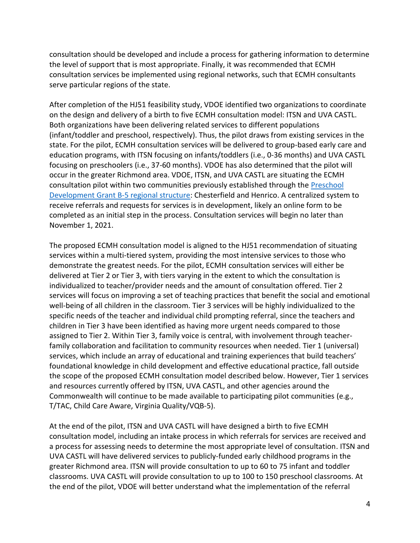consultation should be developed and include a process for gathering information to determine the level of support that is most appropriate. Finally, it was recommended that ECMH consultation services be implemented using regional networks, such that ECMH consultants serve particular regions of the state.

After completion of the HJ51 feasibility study, VDOE identified two organizations to coordinate on the design and delivery of a birth to five ECMH consultation model: ITSN and UVA CASTL. Both organizations have been delivering related services to different populations (infant/toddler and preschool, respectively). Thus, the pilot draws from existing services in the state. For the pilot, ECMH consultation services will be delivered to group-based early care and education programs, with ITSN focusing on infants/toddlers (i.e., 0-36 months) and UVA CASTL focusing on preschoolers (i.e., 37-60 months). VDOE has also determined that the pilot will occur in the greater Richmond area. VDOE, ITSN, and UVA CASTL are situating the ECMH consultation pilot within two communities previously established through the [Preschool](https://vecf.org/federal-preschool-development-grant-birth-5/)  Development Grant [B-5 regional structure:](https://vecf.org/federal-preschool-development-grant-birth-5/) Chesterfield and Henrico. A centralized system to receive referrals and requests for services is in development, likely an online form to be completed as an initial step in the process. Consultation services will begin no later than November 1, 2021.

The proposed ECMH consultation model is aligned to the HJ51 recommendation of situating services within a multi-tiered system, providing the most intensive services to those who demonstrate the greatest needs. For the pilot, ECMH consultation services will either be delivered at Tier 2 or Tier 3, with tiers varying in the extent to which the consultation is individualized to teacher/provider needs and the amount of consultation offered. Tier 2 services will focus on improving a set of teaching practices that benefit the social and emotional well-being of all children in the classroom. Tier 3 services will be highly individualized to the specific needs of the teacher and individual child prompting referral, since the teachers and children in Tier 3 have been identified as having more urgent needs compared to those assigned to Tier 2. Within Tier 3, family voice is central, with involvement through teacherfamily collaboration and facilitation to community resources when needed. Tier 1 (universal) services, which include an array of educational and training experiences that build teachers' foundational knowledge in child development and effective educational practice, fall outside the scope of the proposed ECMH consultation model described below. However, Tier 1 services and resources currently offered by ITSN, UVA CASTL, and other agencies around the Commonwealth will continue to be made available to participating pilot communities (e.g., T/TAC, Child Care Aware, Virginia Quality/VQB-5).

At the end of the pilot, ITSN and UVA CASTL will have designed a birth to five ECMH consultation model, including an intake process in which referrals for services are received and a process for assessing needs to determine the most appropriate level of consultation. ITSN and UVA CASTL will have delivered services to publicly-funded early childhood programs in the greater Richmond area. ITSN will provide consultation to up to 60 to 75 infant and toddler classrooms. UVA CASTL will provide consultation to up to 100 to 150 preschool classrooms. At the end of the pilot, VDOE will better understand what the implementation of the referral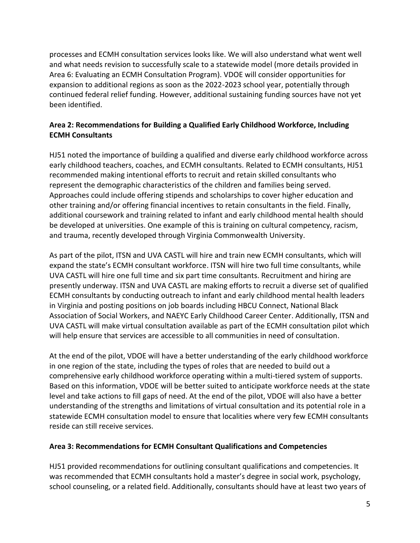processes and ECMH consultation services looks like. We will also understand what went well and what needs revision to successfully scale to a statewide model (more details provided in Area 6: Evaluating an ECMH Consultation Program). VDOE will consider opportunities for expansion to additional regions as soon as the 2022-2023 school year, potentially through continued federal relief funding. However, additional sustaining funding sources have not yet been identified.

# **Area 2: Recommendations for Building a Qualified Early Childhood Workforce, Including ECMH Consultants**

HJ51 noted the importance of building a qualified and diverse early childhood workforce across early childhood teachers, coaches, and ECMH consultants. Related to ECMH consultants, HJ51 recommended making intentional efforts to recruit and retain skilled consultants who represent the demographic characteristics of the children and families being served. Approaches could include offering stipends and scholarships to cover higher education and other training and/or offering financial incentives to retain consultants in the field. Finally, additional coursework and training related to infant and early childhood mental health should be developed at universities. One example of this is training on cultural competency, racism, and trauma, recently developed through Virginia Commonwealth University.

As part of the pilot, ITSN and UVA CASTL will hire and train new ECMH consultants, which will expand the state's ECMH consultant workforce. ITSN will hire two full time consultants, while UVA CASTL will hire one full time and six part time consultants. Recruitment and hiring are presently underway. ITSN and UVA CASTL are making efforts to recruit a diverse set of qualified ECMH consultants by conducting outreach to infant and early childhood mental health leaders in Virginia and posting positions on job boards including HBCU Connect, National Black Association of Social Workers, and NAEYC Early Childhood Career Center. Additionally, ITSN and UVA CASTL will make virtual consultation available as part of the ECMH consultation pilot which will help ensure that services are accessible to all communities in need of consultation.

At the end of the pilot, VDOE will have a better understanding of the early childhood workforce in one region of the state, including the types of roles that are needed to build out a comprehensive early childhood workforce operating within a multi-tiered system of supports. Based on this information, VDOE will be better suited to anticipate workforce needs at the state level and take actions to fill gaps of need. At the end of the pilot, VDOE will also have a better understanding of the strengths and limitations of virtual consultation and its potential role in a statewide ECMH consultation model to ensure that localities where very few ECMH consultants reside can still receive services.

#### **Area 3: Recommendations for ECMH Consultant Qualifications and Competencies**

HJ51 provided recommendations for outlining consultant qualifications and competencies. It was recommended that ECMH consultants hold a master's degree in social work, psychology, school counseling, or a related field. Additionally, consultants should have at least two years of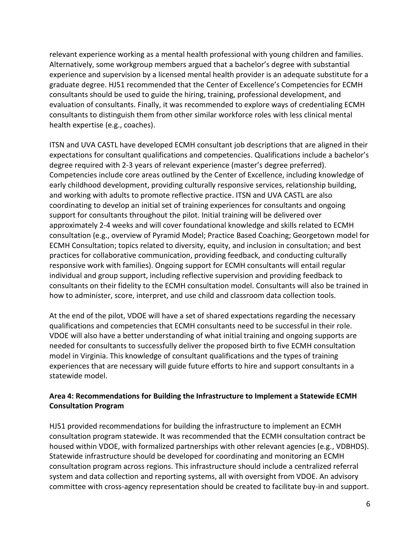relevant experience working as a mental health professional with young children and families. Alternatively, some workgroup members argued that a bachelor's degree with substantial experience and supervision by a licensed mental health provider is an adequate substitute for a graduate degree. HJ51 recommended that the Center of Excellence's Competencies for ECMH consultants should be used to guide the hiring, training, professional development, and evaluation of consultants. Finally, it was recommended to explore ways of credentialing ECMH consultants to distinguish them from other similar workforce roles with less clinical mental health expertise (e.g., coaches).

ITSN and UVA CASTL have developed ECMH consultant job descriptions that are aligned in their expectations for consultant qualifications and competencies. Qualifications include a bachelor's degree required with 2-3 years of relevant experience (master's degree preferred). Competencies include core areas outlined by the Center of Excellence, including knowledge of early childhood development, providing culturally responsive services, relationship building, and working with adults to promote reflective practice. ITSN and UVA CASTL are also coordinating to develop an initial set of training experiences for consultants and ongoing support for consultants throughout the pilot. Initial training will be delivered over approximately 2-4 weeks and will cover foundational knowledge and skills related to ECMH consultation (e.g., overview of Pyramid Model; Practice Based Coaching; Georgetown model for ECMH Consultation; topics related to diversity, equity, and inclusion in consultation; and best practices for collaborative communication, providing feedback, and conducting culturally responsive work with families). Ongoing support for ECMH consultants will entail regular individual and group support, including reflective supervision and providing feedback to consultants on their fidelity to the ECMH consultation model. Consultants will also be trained in how to administer, score, interpret, and use child and classroom data collection tools.

At the end of the pilot, VDOE will have a set of shared expectations regarding the necessary qualifications and competencies that ECMH consultants need to be successful in their role. VDOE will also have a better understanding of what initial training and ongoing supports are needed for consultants to successfully deliver the proposed birth to five ECMH consultation model in Virginia. This knowledge of consultant qualifications and the types of training experiences that are necessary will guide future efforts to hire and support consultants in a statewide model.

## **Area 4: Recommendations for Building the Infrastructure to Implement a Statewide ECMH Consultation Program**

HJ51 provided recommendations for building the infrastructure to implement an ECMH consultation program statewide. It was recommended that the ECMH consultation contract be housed within VDOE, with formalized partnerships with other relevant agencies (e.g., VDBHDS). Statewide infrastructure should be developed for coordinating and monitoring an ECMH consultation program across regions. This infrastructure should include a centralized referral system and data collection and reporting systems, all with oversight from VDOE. An advisory committee with cross-agency representation should be created to facilitate buy-in and support.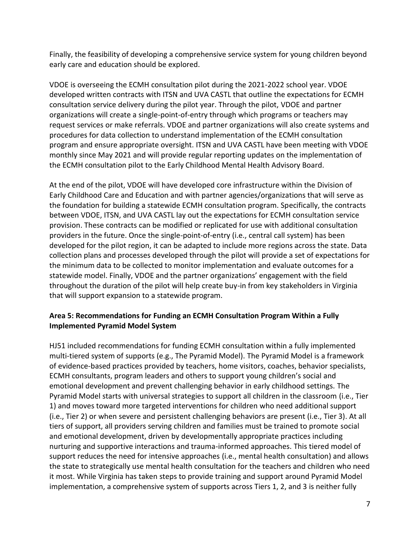Finally, the feasibility of developing a comprehensive service system for young children beyond early care and education should be explored.

VDOE is overseeing the ECMH consultation pilot during the 2021-2022 school year. VDOE developed written contracts with ITSN and UVA CASTL that outline the expectations for ECMH consultation service delivery during the pilot year. Through the pilot, VDOE and partner organizations will create a single-point-of-entry through which programs or teachers may request services or make referrals. VDOE and partner organizations will also create systems and procedures for data collection to understand implementation of the ECMH consultation program and ensure appropriate oversight. ITSN and UVA CASTL have been meeting with VDOE monthly since May 2021 and will provide regular reporting updates on the implementation of the ECMH consultation pilot to the Early Childhood Mental Health Advisory Board.

At the end of the pilot, VDOE will have developed core infrastructure within the Division of Early Childhood Care and Education and with partner agencies/organizations that will serve as the foundation for building a statewide ECMH consultation program. Specifically, the contracts between VDOE, ITSN, and UVA CASTL lay out the expectations for ECMH consultation service provision. These contracts can be modified or replicated for use with additional consultation providers in the future. Once the single-point-of-entry (i.e., central call system) has been developed for the pilot region, it can be adapted to include more regions across the state. Data collection plans and processes developed through the pilot will provide a set of expectations for the minimum data to be collected to monitor implementation and evaluate outcomes for a statewide model. Finally, VDOE and the partner organizations' engagement with the field throughout the duration of the pilot will help create buy-in from key stakeholders in Virginia that will support expansion to a statewide program.

## **Area 5: Recommendations for Funding an ECMH Consultation Program Within a Fully Implemented Pyramid Model System**

HJ51 included recommendations for funding ECMH consultation within a fully implemented multi-tiered system of supports (e.g., The Pyramid Model). The Pyramid Model is a framework of evidence-based practices provided by teachers, home visitors, coaches, behavior specialists, ECMH consultants, program leaders and others to support young children's social and emotional development and prevent challenging behavior in early childhood settings. The Pyramid Model starts with universal strategies to support all children in the classroom (i.e., Tier 1) and moves toward more targeted interventions for children who need additional support (i.e., Tier 2) or when severe and persistent challenging behaviors are present (i.e., Tier 3). At all tiers of support, all providers serving children and families must be trained to promote social and emotional development, driven by developmentally appropriate practices including nurturing and supportive interactions and trauma-informed approaches. This tiered model of support reduces the need for intensive approaches (i.e., mental health consultation) and allows the state to strategically use mental health consultation for the teachers and children who need it most. While Virginia has taken steps to provide training and support around Pyramid Model implementation, a comprehensive system of supports across Tiers 1, 2, and 3 is neither fully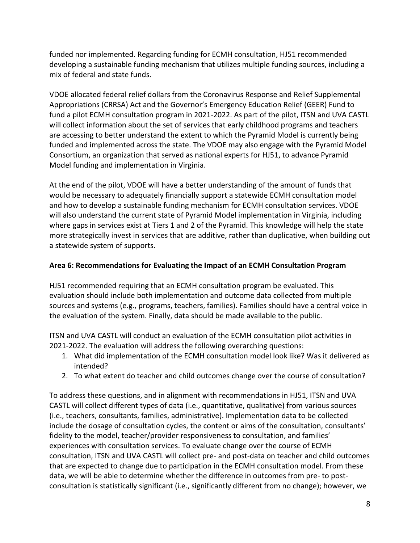funded nor implemented. Regarding funding for ECMH consultation, HJ51 recommended developing a sustainable funding mechanism that utilizes multiple funding sources, including a mix of federal and state funds.

VDOE allocated federal relief dollars from the Coronavirus Response and Relief Supplemental Appropriations (CRRSA) Act and the Governor's Emergency Education Relief (GEER) Fund to fund a pilot ECMH consultation program in 2021-2022. As part of the pilot, ITSN and UVA CASTL will collect information about the set of services that early childhood programs and teachers are accessing to better understand the extent to which the Pyramid Model is currently being funded and implemented across the state. The VDOE may also engage with the Pyramid Model Consortium, an organization that served as national experts for HJ51, to advance Pyramid Model funding and implementation in Virginia.

At the end of the pilot, VDOE will have a better understanding of the amount of funds that would be necessary to adequately financially support a statewide ECMH consultation model and how to develop a sustainable funding mechanism for ECMH consultation services. VDOE will also understand the current state of Pyramid Model implementation in Virginia, including where gaps in services exist at Tiers 1 and 2 of the Pyramid. This knowledge will help the state more strategically invest in services that are additive, rather than duplicative, when building out a statewide system of supports.

## **Area 6: Recommendations for Evaluating the Impact of an ECMH Consultation Program**

HJ51 recommended requiring that an ECMH consultation program be evaluated. This evaluation should include both implementation and outcome data collected from multiple sources and systems (e.g., programs, teachers, families). Families should have a central voice in the evaluation of the system. Finally, data should be made available to the public.

ITSN and UVA CASTL will conduct an evaluation of the ECMH consultation pilot activities in 2021-2022. The evaluation will address the following overarching questions:

- 1. What did implementation of the ECMH consultation model look like? Was it delivered as intended?
- 2. To what extent do teacher and child outcomes change over the course of consultation?

To address these questions, and in alignment with recommendations in HJ51, ITSN and UVA CASTL will collect different types of data (i.e., quantitative, qualitative) from various sources (i.e., teachers, consultants, families, administrative). Implementation data to be collected include the dosage of consultation cycles, the content or aims of the consultation, consultants' fidelity to the model, teacher/provider responsiveness to consultation, and families' experiences with consultation services. To evaluate change over the course of ECMH consultation, ITSN and UVA CASTL will collect pre- and post-data on teacher and child outcomes that are expected to change due to participation in the ECMH consultation model. From these data, we will be able to determine whether the difference in outcomes from pre- to postconsultation is statistically significant (i.e., significantly different from no change); however, we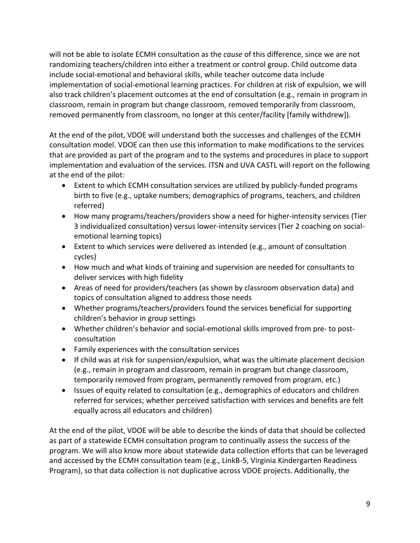will not be able to isolate ECMH consultation as the *cause* of this difference, since we are not randomizing teachers/children into either a treatment or control group. Child outcome data include social-emotional and behavioral skills, while teacher outcome data include implementation of social-emotional learning practices. For children at risk of expulsion, we will also track children's placement outcomes at the end of consultation (e.g., remain in program in classroom, remain in program but change classroom, removed temporarily from classroom, removed permanently from classroom, no longer at this center/facility [family withdrew]).

At the end of the pilot, VDOE will understand both the successes and challenges of the ECMH consultation model. VDOE can then use this information to make modifications to the services that are provided as part of the program and to the systems and procedures in place to support implementation and evaluation of the services. ITSN and UVA CASTL will report on the following at the end of the pilot:

- Extent to which ECMH consultation services are utilized by publicly-funded programs birth to five (e.g., uptake numbers; demographics of programs, teachers, and children referred)
- How many programs/teachers/providers show a need for higher-intensity services (Tier 3 individualized consultation) versus lower-intensity services (Tier 2 coaching on socialemotional learning topics)
- Extent to which services were delivered as intended (e.g., amount of consultation cycles)
- How much and what kinds of training and supervision are needed for consultants to deliver services with high fidelity
- Areas of need for providers/teachers (as shown by classroom observation data) and topics of consultation aligned to address those needs
- Whether programs/teachers/providers found the services beneficial for supporting children's behavior in group settings
- Whether children's behavior and social-emotional skills improved from pre- to postconsultation
- Family experiences with the consultation services
- If child was at risk for suspension/expulsion, what was the ultimate placement decision (e.g., remain in program and classroom, remain in program but change classroom, temporarily removed from program, permanently removed from program, etc.)
- Issues of equity related to consultation (e.g., demographics of educators and children referred for services; whether perceived satisfaction with services and benefits are felt equally across all educators and children)

At the end of the pilot, VDOE will be able to describe the kinds of data that should be collected as part of a statewide ECMH consultation program to continually assess the success of the program. We will also know more about statewide data collection efforts that can be leveraged and accessed by the ECMH consultation team (e.g., LinkB-5, Virginia Kindergarten Readiness Program), so that data collection is not duplicative across VDOE projects. Additionally, the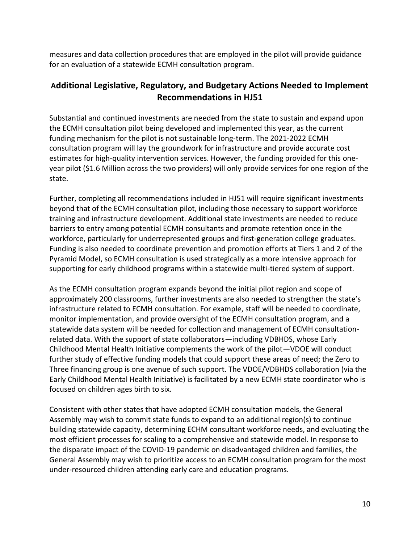measures and data collection procedures that are employed in the pilot will provide guidance for an evaluation of a statewide ECMH consultation program.

# **Additional Legislative, Regulatory, and Budgetary Actions Needed to Implement Recommendations in HJ51**

Substantial and continued investments are needed from the state to sustain and expand upon the ECMH consultation pilot being developed and implemented this year, as the current funding mechanism for the pilot is not sustainable long-term. The 2021-2022 ECMH consultation program will lay the groundwork for infrastructure and provide accurate cost estimates for high-quality intervention services. However, the funding provided for this oneyear pilot (\$1.6 Million across the two providers) will only provide services for one region of the state.

Further, completing all recommendations included in HJ51 will require significant investments beyond that of the ECMH consultation pilot, including those necessary to support workforce training and infrastructure development. Additional state investments are needed to reduce barriers to entry among potential ECMH consultants and promote retention once in the workforce, particularly for underrepresented groups and first-generation college graduates. Funding is also needed to coordinate prevention and promotion efforts at Tiers 1 and 2 of the Pyramid Model, so ECMH consultation is used strategically as a more intensive approach for supporting for early childhood programs within a statewide multi-tiered system of support.

As the ECMH consultation program expands beyond the initial pilot region and scope of approximately 200 classrooms, further investments are also needed to strengthen the state's infrastructure related to ECMH consultation. For example, staff will be needed to coordinate, monitor implementation, and provide oversight of the ECMH consultation program, and a statewide data system will be needed for collection and management of ECMH consultationrelated data. With the support of state collaborators—including VDBHDS, whose Early Childhood Mental Health Initiative complements the work of the pilot—VDOE will conduct further study of effective funding models that could support these areas of need; the Zero to Three financing group is one avenue of such support. The VDOE/VDBHDS collaboration (via the Early Childhood Mental Health Initiative) is facilitated by a new ECMH state coordinator who is focused on children ages birth to six.

Consistent with other states that have adopted ECMH consultation models, the General Assembly may wish to commit state funds to expand to an additional region(s) to continue building statewide capacity, determining ECHM consultant workforce needs, and evaluating the most efficient processes for scaling to a comprehensive and statewide model. In response to the disparate impact of the COVID-19 pandemic on disadvantaged children and families, the General Assembly may wish to prioritize access to an ECMH consultation program for the most under-resourced children attending early care and education programs.